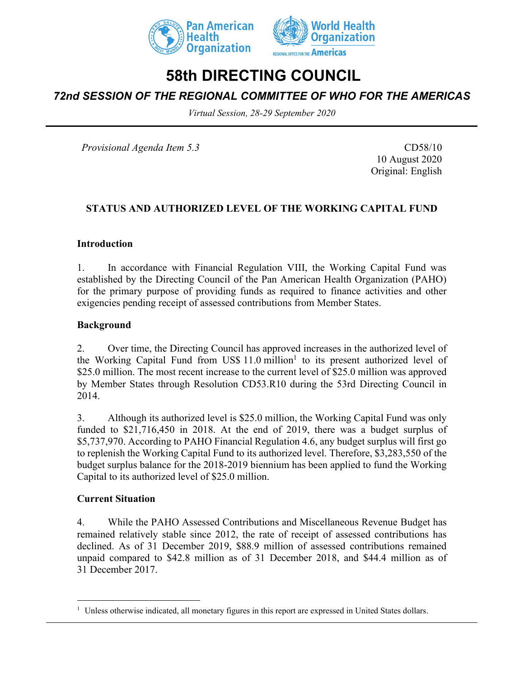



# **58th DIRECTING COUNCIL**

## *72nd SESSION OF THE REGIONAL COMMITTEE OF WHO FOR THE AMERICAS*

*Virtual Session, 28-29 September 2020*

*Provisional Agenda Item 5.3* CD58/10

10 August 2020 Original: English

#### **STATUS AND AUTHORIZED LEVEL OF THE WORKING CAPITAL FUND**

#### **Introduction**

1. In accordance with Financial Regulation VIII, the Working Capital Fund was established by the Directing Council of the Pan American Health Organization (PAHO) for the primary purpose of providing funds as required to finance activities and other exigencies pending receipt of assessed contributions from Member States.

#### **Background**

2. Over time, the Directing Council has approved increases in the authorized level of the Working Capital Fund from US\$  $11.0$  million<sup>1</sup> to its present authorized level of \$25.0 million. The most recent increase to the current level of \$25.0 million was approved by Member States through Resolution CD53.R10 during the 53rd Directing Council in 2014.

3. Although its authorized level is \$25.0 million, the Working Capital Fund was only funded to \$21,716,450 in 2018. At the end of 2019, there was a budget surplus of \$5,737,970. According to PAHO Financial Regulation 4.6, any budget surplus will first go to replenish the Working Capital Fund to its authorized level. Therefore, \$3,283,550 of the budget surplus balance for the 2018-2019 biennium has been applied to fund the Working Capital to its authorized level of \$25.0 million.

#### **Current Situation**

4. While the PAHO Assessed Contributions and Miscellaneous Revenue Budget has remained relatively stable since 2012, the rate of receipt of assessed contributions has declined. As of 31 December 2019, \$88.9 million of assessed contributions remained unpaid compared to \$42.8 million as of 31 December 2018, and \$44.4 million as of 31 December 2017.

<sup>&</sup>lt;sup>1</sup> Unless otherwise indicated, all monetary figures in this report are expressed in United States dollars.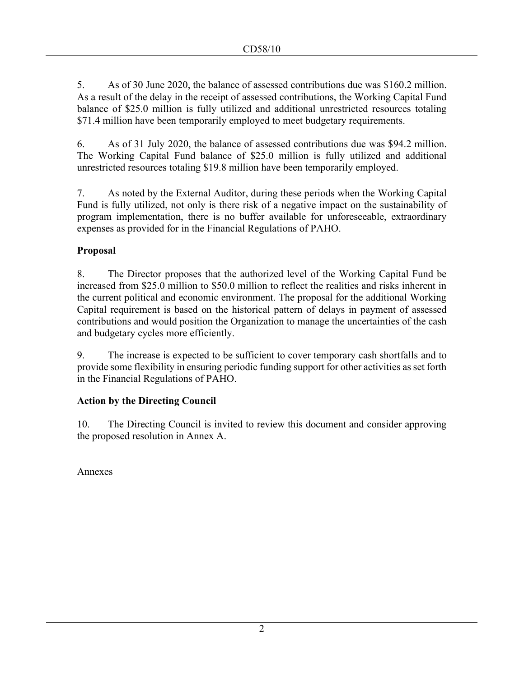5. As of 30 June 2020, the balance of assessed contributions due was \$160.2 million. As a result of the delay in the receipt of assessed contributions, the Working Capital Fund balance of \$25.0 million is fully utilized and additional unrestricted resources totaling \$71.4 million have been temporarily employed to meet budgetary requirements.

6. As of 31 July 2020, the balance of assessed contributions due was \$94.2 million. The Working Capital Fund balance of \$25.0 million is fully utilized and additional unrestricted resources totaling \$19.8 million have been temporarily employed.

7. As noted by the External Auditor, during these periods when the Working Capital Fund is fully utilized, not only is there risk of a negative impact on the sustainability of program implementation, there is no buffer available for unforeseeable, extraordinary expenses as provided for in the Financial Regulations of PAHO.

## **Proposal**

8. The Director proposes that the authorized level of the Working Capital Fund be increased from \$25.0 million to \$50.0 million to reflect the realities and risks inherent in the current political and economic environment. The proposal for the additional Working Capital requirement is based on the historical pattern of delays in payment of assessed contributions and would position the Organization to manage the uncertainties of the cash and budgetary cycles more efficiently.

9. The increase is expected to be sufficient to cover temporary cash shortfalls and to provide some flexibility in ensuring periodic funding support for other activities as set forth in the Financial Regulations of PAHO.

## **Action by the Directing Council**

10. The Directing Council is invited to review this document and consider approving the proposed resolution in Annex A.

Annexes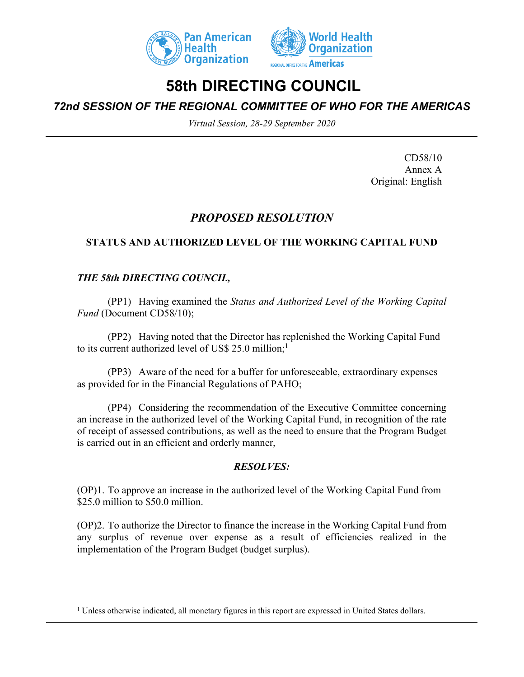



## **58th DIRECTING COUNCIL**

*72nd SESSION OF THE REGIONAL COMMITTEE OF WHO FOR THE AMERICAS*

*Virtual Session, 28-29 September 2020*

CD58/10 Annex A Original: English

## *PROPOSED RESOLUTION*

## **STATUS AND AUTHORIZED LEVEL OF THE WORKING CAPITAL FUND**

### *THE 58th DIRECTING COUNCIL,*

(PP1) Having examined the *Status and Authorized Level of the Working Capital Fund* (Document CD58/10);

(PP2) Having noted that the Director has replenished the Working Capital Fund to its current authorized level of US\$ 25.0 million;<sup>1</sup>

(PP3) Aware of the need for a buffer for unforeseeable, extraordinary expenses as provided for in the Financial Regulations of PAHO;

(PP4) Considering the recommendation of the Executive Committee concerning an increase in the authorized level of the Working Capital Fund, in recognition of the rate of receipt of assessed contributions, as well as the need to ensure that the Program Budget is carried out in an efficient and orderly manner,

#### *RESOLVES:*

(OP)1. To approve an increase in the authorized level of the Working Capital Fund from \$25.0 million to \$50.0 million.

(OP)2. To authorize the Director to finance the increase in the Working Capital Fund from any surplus of revenue over expense as a result of efficiencies realized in the implementation of the Program Budget (budget surplus).

<sup>&</sup>lt;sup>1</sup> Unless otherwise indicated, all monetary figures in this report are expressed in United States dollars.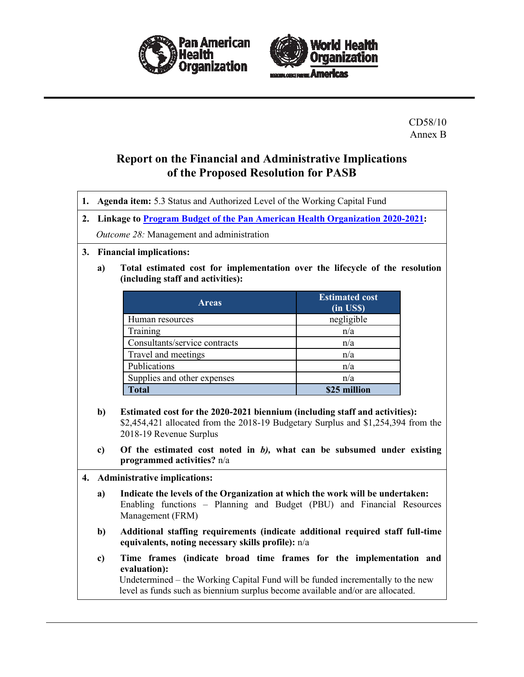



CD58/10 Annex B

## **Report on the Financial and Administrative Implications of the Proposed Resolution for PASB**

**1. Agenda item:** 5.3 Status and Authorized Level of the Working Capital Fund

**2. Linkage to [Program Budget of the Pan American Health Organization 2020-2021:](https://www.paho.org/hq/index.php?option=com_docman&view=document&alias=50372-cd57-od358-e-program-budget-paho&category_slug=cd57-en&Itemid=270&lang=en)**

*Outcome 28:* Management and administration

#### **3. Financial implications:**

**a) Total estimated cost for implementation over the lifecycle of the resolution (including staff and activities):**

| <b>Areas</b>                  | <b>Estimated cost</b><br>(in US\$) |
|-------------------------------|------------------------------------|
| Human resources               | negligible                         |
| Training                      | n/a                                |
| Consultants/service contracts | n/a                                |
| Travel and meetings           | n/a                                |
| Publications                  | n/a                                |
| Supplies and other expenses   | n/a                                |
| <b>Total</b>                  | \$25 million                       |

- **b) Estimated cost for the 2020-2021 biennium (including staff and activities):** \$2,454,421 allocated from the 2018-19 Budgetary Surplus and \$1,254,394 from the 2018-19 Revenue Surplus
- **c) Of the estimated cost noted in** *b),* **what can be subsumed under existing programmed activities?** n/a

#### **4. Administrative implications:**

- **a) Indicate the levels of the Organization at which the work will be undertaken:** Enabling functions – Planning and Budget (PBU) and Financial Resources Management (FRM)
- **b) Additional staffing requirements (indicate additional required staff full-time equivalents, noting necessary skills profile):** n/a
- **c) Time frames (indicate broad time frames for the implementation and evaluation):**

Undetermined – the Working Capital Fund will be funded incrementally to the new level as funds such as biennium surplus become available and/or are allocated.